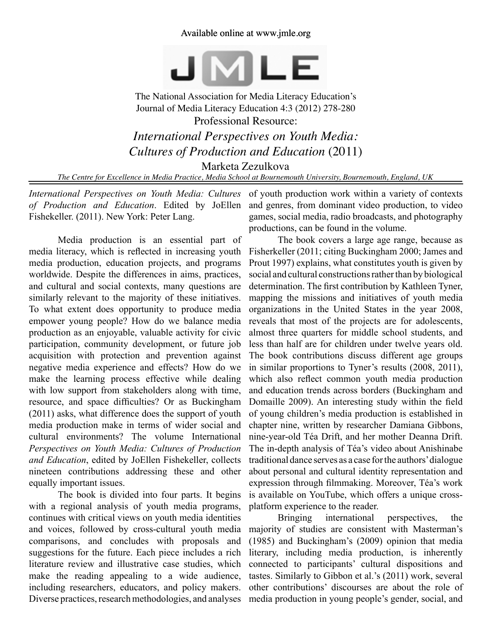## Available online at www.jmle.org



The National Association for Media Literacy Education's Journal of Media Literacy Education 4:3 (2012) 278-280 Professional Resource: *International Perspectives on Youth Media: Cultures of Production and Education* (2011)

Marketa Zezulkova

*The Centre for Excellence in Media Practice, Media School at Bournemouth University, Bournemouth, England, UK*

*International Perspectives on Youth Media: Cultures of Production and Education*. Edited by JoEllen Fishekeller. (2011). New York: Peter Lang.

Media production is an essential part of media literacy, which is reflected in increasing youth media production, education projects, and programs worldwide. Despite the differences in aims, practices, and cultural and social contexts, many questions are similarly relevant to the majority of these initiatives. To what extent does opportunity to produce media empower young people? How do we balance media production as an enjoyable, valuable activity for civic participation, community development, or future job acquisition with protection and prevention against negative media experience and effects? How do we make the learning process effective while dealing with low support from stakeholders along with time, resource, and space difficulties? Or as Buckingham (2011) asks, what difference does the support of youth media production make in terms of wider social and cultural environments? The volume International *Perspectives on Youth Media: Cultures of Production and Education*, edited by JoEllen Fishekeller, collects nineteen contributions addressing these and other equally important issues.

The book is divided into four parts. It begins with a regional analysis of youth media programs, continues with critical views on youth media identities and voices, followed by cross-cultural youth media comparisons, and concludes with proposals and suggestions for the future. Each piece includes a rich literature review and illustrative case studies, which make the reading appealing to a wide audience, including researchers, educators, and policy makers. Diverse practices, research methodologies, and analyses

of youth production work within a variety of contexts and genres, from dominant video production, to video games, social media, radio broadcasts, and photography productions, can be found in the volume.

The book covers a large age range, because as Fisherkeller (2011; citing Buckingham 2000; James and Prout 1997) explains, what constitutes youth is given by social and cultural constructions rather than by biological determination. The first contribution by Kathleen Tyner, mapping the missions and initiatives of youth media organizations in the United States in the year 2008, reveals that most of the projects are for adolescents, almost three quarters for middle school students, and less than half are for children under twelve years old. The book contributions discuss different age groups in similar proportions to Tyner's results (2008, 2011), which also reflect common youth media production and education trends across borders (Buckingham and Domaille 2009). An interesting study within the field of young children's media production is established in chapter nine, written by researcher Damiana Gibbons, nine-year-old Téa Drift, and her mother Deanna Drift. The in-depth analysis of Téa's video about Anishinabe traditional dance serves as a case for the authors' dialogue about personal and cultural identity representation and expression through filmmaking. Moreover, Téa's work is available on YouTube, which offers a unique crossplatform experience to the reader.

Bringing international perspectives, the majority of studies are consistent with Masterman's (1985) and Buckingham's (2009) opinion that media literary, including media production, is inherently connected to participants' cultural dispositions and tastes. Similarly to Gibbon et al.'s (2011) work, several other contributions' discourses are about the role of media production in young people's gender, social, and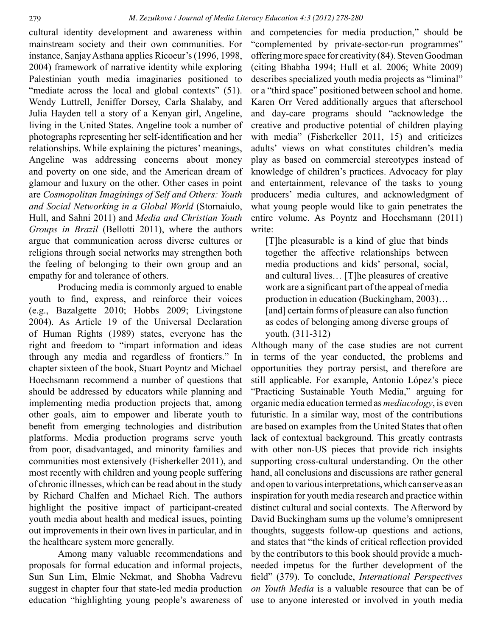cultural identity development and awareness within mainstream society and their own communities. For instance, Sanjay Asthana applies Ricoeur's (1996, 1998, 2004) framework of narrative identity while exploring Palestinian youth media imaginaries positioned to "mediate across the local and global contexts" (51). Wendy Luttrell, Jeniffer Dorsey, Carla Shalaby, and Julia Hayden tell a story of a Kenyan girl, Angeline, living in the United States. Angeline took a number of photographs representing her self-identification and her relationships. While explaining the pictures' meanings, Angeline was addressing concerns about money and poverty on one side, and the American dream of glamour and luxury on the other. Other cases in point are *Cosmopolitan Imaginings of Self and Others: Youth and Social Networking in a Global World* (Stornaiulo, Hull, and Sahni 2011) and *Media and Christian Youth Groups in Brazil* (Bellotti 2011), where the authors argue that communication across diverse cultures or religions through social networks may strengthen both the feeling of belonging to their own group and an empathy for and tolerance of others.

Producing media is commonly argued to enable youth to find, express, and reinforce their voices (e.g., Bazalgette 2010; Hobbs 2009; Livingstone 2004). As Article 19 of the Universal Declaration of Human Rights (1989) states, everyone has the right and freedom to "impart information and ideas through any media and regardless of frontiers." In chapter sixteen of the book, Stuart Poyntz and Michael Hoechsmann recommend a number of questions that should be addressed by educators while planning and implementing media production projects that, among other goals, aim to empower and liberate youth to benefit from emerging technologies and distribution platforms. Media production programs serve youth from poor, disadvantaged, and minority families and communities most extensively (Fisherkeller 2011), and most recently with children and young people suffering of chronic illnesses, which can be read about in the study by Richard Chalfen and Michael Rich. The authors highlight the positive impact of participant-created youth media about health and medical issues, pointing out improvements in their own lives in particular, and in the healthcare system more generally.

Among many valuable recommendations and proposals for formal education and informal projects, Sun Sun Lim, Elmie Nekmat, and Shobha Vadrevu suggest in chapter four that state-led media production education "highlighting young people's awareness of and competencies for media production," should be "complemented by private-sector-run programmes" offering more space for creativity (84). Steven Goodman (citing Bhabha 1994; Hull et al. 2006; White 2009) describes specialized youth media projects as "liminal" or a "third space" positioned between school and home. Karen Orr Vered additionally argues that afterschool and day-care programs should "acknowledge the creative and productive potential of children playing with media" (Fisherkeller 2011, 15) and criticizes adults' views on what constitutes children's media play as based on commercial stereotypes instead of knowledge of children's practices. Advocacy for play and entertainment, relevance of the tasks to young producers' media cultures, and acknowledgment of what young people would like to gain penetrates the entire volume. As Poyntz and Hoechsmann (2011) write:

[T]he pleasurable is a kind of glue that binds together the affective relationships between media productions and kids' personal, social, and cultural lives… [T]he pleasures of creative work are a significant part of the appeal of media production in education (Buckingham, 2003)… [and] certain forms of pleasure can also function as codes of belonging among diverse groups of youth. (311-312)

Although many of the case studies are not current in terms of the year conducted, the problems and opportunities they portray persist, and therefore are still applicable. For example, Antonio López's piece "Practicing Sustainable Youth Media," arguing for organic media education termed as *mediacology*, is even futuristic. In a similar way, most of the contributions are based on examples from the United States that often lack of contextual background. This greatly contrasts with other non-US pieces that provide rich insights supporting cross-cultural understanding. On the other hand, all conclusions and discussions are rather general and open to various interpretations, which can serve as an inspiration for youth media research and practice within distinct cultural and social contexts. The Afterword by David Buckingham sums up the volume's omnipresent thoughts, suggests follow-up questions and actions, and states that "the kinds of critical reflection provided by the contributors to this book should provide a muchneeded impetus for the further development of the field" (379). To conclude, *International Perspectives on Youth Media* is a valuable resource that can be of use to anyone interested or involved in youth media